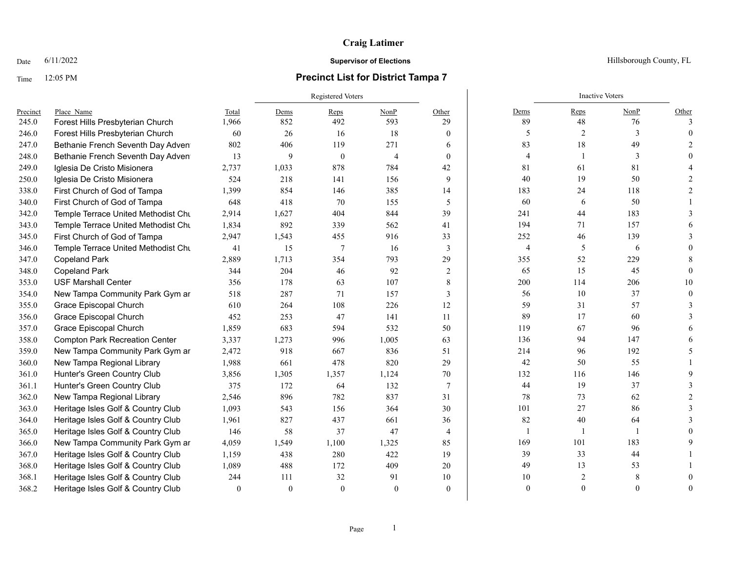## **Craig Latimer**

## Time 12:05 PM **Precinct List for District Tampa 7**

Registered Voters **Inactive Voters** Inactive Voters **Inactive Voters** Precinct Place\_Name Total Dems Reps NonP Other Dems Reps NonP Other 245.0 Forest Hills Presbyterian Church 1,966 852 492 593 29 89 48 76 3 246.0 Forest Hills Presbyterian Church 60 26 16 18 0 3 2 3 0 247.0 Bethanie French Seventh Day Adventist Church 802 406 119 271 6 83 18 49 2 248.0 Bethanie French Seventh Day Adventist Church 13 9 0 4 0 4 1 3 0 249.0 Iglesia De Cristo Misionera 2,737 1,033 878 784 42 81 61 81 4 250.0 Iglesia De Cristo Misionera 524 218 141 156 9 40 19 50 2 338.0 First Church of God of Tampa 1,399 854 146 385 14 183 24 118 2 340.0 First Church of God of Tampa 648 418 70 155 5 60 6 50 1 342.0 Temple Terrace United Methodist Church 2,914 1,627 404 844 39 241 44 183 3 343.0 Temple Terrace United Methodist Chu 1,834 892 339 562 41 194 71 157 6 345.0 First Church of God of Tampa 2.947 1,543 455 916 33 3 252 46 139 3 346.0 Temple Terrace United Methodist Church 41 15 7 16 3 4 5 6 0 347.0 Copeland Park 2,889 1,713 354 793 29 355 52 229 8 348.0 Copeland Park 344 204 46 92 2 | 65 15 45 0 353.0 USF Marshall Center 356 178 63 107 8 | 200 114 206 10 354.0 New Tampa Community Park Gym ar 518 287 71 157 3 3 56 10 37 0 355.0 Grace Episcopal Church 610 264 108 226 12 59 31 57 3 356.0 Grace Episcopal Church 452 253 47 141 11 89 17 60 3 357.0 Grace Episcopal Church 1,859 683 594 532 50 119 67 96 6 358.0 Compton Park Recreation Center 3,337 1,273 996 1,005 63 136 94 147 6 359.0 New Tampa Community Park Gym and Dance 2,472 918 667 836 51 214 96 192 5 360.0 New Tampa Regional Library 1,988 661 478 820 29 42 50 55 1 361.0 Hunter's Green Country Club 3,856 1,305 1,357 1,124 70 132 116 146 9 361.1 Hunter's Green Country Club 375 172 64 132 7 44 19 37 3 362.0 New Tampa Regional Library  $2,546$  896 782 837 31 78 73 62 2 363.0 Heritage Isles Golf & Country Club 1,093 543 156 364 30 101 27 86 3 364.0 Heritage Isles Golf & Country Club 1,961 827 437 661 36 82 40 64 3 365.0 Heritage Isles Golf & Country Club 146 58 37 47 4 1 1 1 1 0 366.0 New Tampa Community Park Gym ar  $4,059$   $1,549$   $1,100$   $1,325$   $85$   $|$  169 101 183 9 367.0 Heritage Isles Golf & Country Club 1,159 438 280 422 19 39 33 44 1 368.0 Heritage Isles Golf & Country Club 1,089 488 172 409 20 49 13 53 1 368.1 Heritage Isles Golf & Country Club 244 111 32 91 10 10 10 2 8 0 368.2 Heritage Isles Golf & Country Club 0 0 0 0 0 0 0 0 0